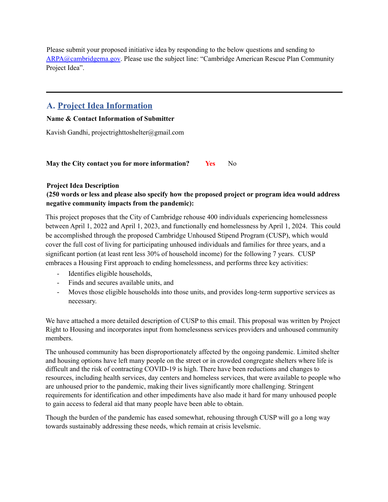Please submit your proposed initiative idea by responding to the below questions and sending to ARPA@cambridgema.gov. Please use the subject line: "Cambridge American Rescue Plan Community Project Idea".

# **A. Project Idea Information**

### **Name & Contact Information of Submitter**

Kavish Gandhi, projectrighttoshelter@gmail.com

**May the City contact you for more information? Yes** No

### **Project Idea Description**

## **(250 words or less and please also specify how the proposed project or program idea would address negative community impacts from the pandemic):**

This project proposes that the City of Cambridge rehouse 400 individuals experiencing homelessness between April 1, 2022 and April 1, 2023, and functionally end homelessness by April 1, 2024. This could be accomplished through the proposed Cambridge Unhoused Stipend Program (CUSP), which would cover the full cost of living for participating unhoused individuals and families for three years, and a significant portion (at least rent less 30% of household income) for the following 7 years. CUSP embraces a Housing First approach to ending homelessness, and performs three key activities:

- Identifies eligible households,
- Finds and secures available units, and
- Moves those eligible households into those units, and provides long-term supportive services as necessary.

We have attached a more detailed description of CUSP to this email. This proposal was written by Project Right to Housing and incorporates input from homelessness services providers and unhoused community members.

The unhoused community has been disproportionately affected by the ongoing pandemic. Limited shelter and housing options have left many people on the street or in crowded congregate shelters where life is difficult and the risk of contracting COVID-19 is high. There have been reductions and changes to resources, including health services, day centers and homeless services, that were available to people who are unhoused prior to the pandemic, making their lives significantly more challenging. Stringent requirements for identification and other impediments have also made it hard for many unhoused people to gain access to federal aid that many people have been able to obtain.

Though the burden of the pandemic has eased somewhat, rehousing through CUSP will go a long way towards sustainably addressing these needs, which remain at crisis levelsmic.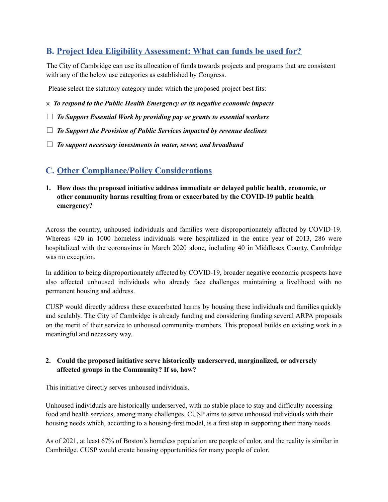# **B. Project Idea Eligibility Assessment: What can funds be used for?**

The City of Cambridge can use its allocation of funds towards projects and programs that are consistent with any of the below use categories as established by Congress.

Please select the statutory category under which the proposed project best fits:

- x *To respond to the Public Health Emergency or its negative economic impacts*
- ☐ *To Support Essential Work by providing pay or grants to essential workers*
- ☐ *To Support the Provision of Public Services impacted by revenue declines*
- ☐ *To support necessary investments in water, sewer, and broadband*

# **C. Other Compliance/Policy Considerations**

**1. How does the proposed initiative address immediate or delayed public health, economic, or other community harms resulting from or exacerbated by the COVID-19 public health emergency?**

Across the country, unhoused individuals and families were disproportionately affected by COVID-19. Whereas 420 in 1000 homeless individuals were hospitalized in the entire year of 2013, 286 were hospitalized with the coronavirus in March 2020 alone, including 40 in Middlesex County. Cambridge was no exception.

In addition to being disproportionately affected by COVID-19, broader negative economic prospects have also affected unhoused individuals who already face challenges maintaining a livelihood with no permanent housing and address.

CUSP would directly address these exacerbated harms by housing these individuals and families quickly and scalably. The City of Cambridge is already funding and considering funding several ARPA proposals on the merit of their service to unhoused community members. This proposal builds on existing work in a meaningful and necessary way.

### **2. Could the proposed initiative serve historically underserved, marginalized, or adversely affected groups in the Community? If so, how?**

This initiative directly serves unhoused individuals.

Unhoused individuals are historically underserved, with no stable place to stay and difficulty accessing food and health services, among many challenges. CUSP aims to serve unhoused individuals with their housing needs which, according to a housing-first model, is a first step in supporting their many needs.

As of 2021, at least 67% of Boston's homeless population are people of color, and the reality is similar in Cambridge. CUSP would create housing opportunities for many people of color.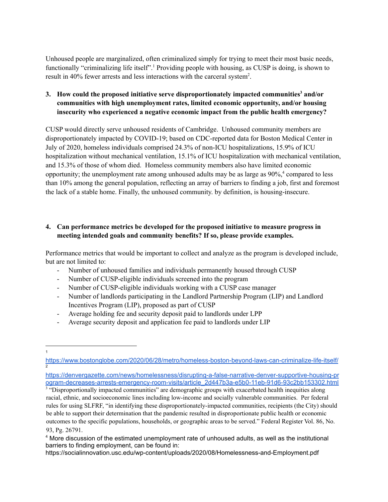Unhoused people are marginalized, often criminalized simply for trying to meet their most basic needs, functionally "criminalizing life itself".<sup>1</sup> Providing people with housing, as CUSP is doing, is shown to result in 40% fewer arrests and less interactions with the carceral system<sup>2</sup>.

**3. How could the proposed initiative serve disproportionately impacted communities <sup>3</sup> and/or communities with high unemployment rates, limited economic opportunity, and/or housing insecurity who experienced a negative economic impact from the public health emergency?**

CUSP would directly serve unhoused residents of Cambridge. Unhoused community members are disproportionately impacted by COVID-19; based on CDC-reported data for Boston Medical Center in July of 2020, homeless individuals comprised 24.3% of non-ICU hospitalizations, 15.9% of ICU hospitalization without mechanical ventilation, 15.1% of ICU hospitalization with mechanical ventilation, and 15.3% of those of whom died. Homeless community members also have limited economic opportunity; the unemployment rate among unhoused adults may be as large as 90%, <sup>4</sup> compared to less than 10% among the general population, reflecting an array of barriers to finding a job, first and foremost the lack of a stable home. Finally, the unhoused community. by definition, is housing-insecure.

### **4. Can performance metrics be developed for the proposed initiative to measure progress in meeting intended goals and community benefits? If so, please provide examples.**

Performance metrics that would be important to collect and analyze as the program is developed include, but are not limited to:

- Number of unhoused families and individuals permanently housed through CUSP
- Number of CUSP-eligible individuals screened into the program
- Number of CUSP-eligible individuals working with a CUSP case manager
- Number of landlords participating in the Landlord Partnership Program (LIP) and Landlord Incentives Program (LIP), proposed as part of CUSP
- Average holding fee and security deposit paid to landlords under LPP
- Average security deposit and application fee paid to landlords under LIP

<sup>3</sup> "Disproportionally impacted communities" are demographic groups with exacerbated health inequities along racial, ethnic, and socioeconomic lines including low-income and socially vulnerable communities. Per federal rules for using SLFRF, "in identifying these disproportionately-impacted communities, recipients (the City) should be able to support their determination that the pandemic resulted in disproportionate public health or economic outcomes to the specific populations, households, or geographic areas to be served." Federal Register Vol. 86, No. 93, Pg. 26791.

https://socialinnovation.usc.edu/wp-content/uploads/2020/08/Homelessness-and-Employment.pdf

<sup>1</sup>

<sup>2</sup> <https://www.bostonglobe.com/2020/06/28/metro/homeless-boston-beyond-laws-can-criminalize-life-itself/>

[https://denvergazette.com/news/homelessness/disrupting-a-false-narrative-denver-supportive-housing-pr](https://denvergazette.com/news/homelessness/disrupting-a-false-narrative-denver-supportive-housing-program-decreases-arrests-emergency-room-visits/article_2d447b3a-e5b0-11eb-91d6-93c2bb153302.html) [ogram-decreases-arrests-emergency-room-visits/article\\_2d447b3a-e5b0-11eb-91d6-93c2bb153302.html](https://denvergazette.com/news/homelessness/disrupting-a-false-narrative-denver-supportive-housing-program-decreases-arrests-emergency-room-visits/article_2d447b3a-e5b0-11eb-91d6-93c2bb153302.html)

<sup>4</sup> More discussion of the estimated unemployment rate of unhoused adults, as well as the institutional barriers to finding employment, can be found in: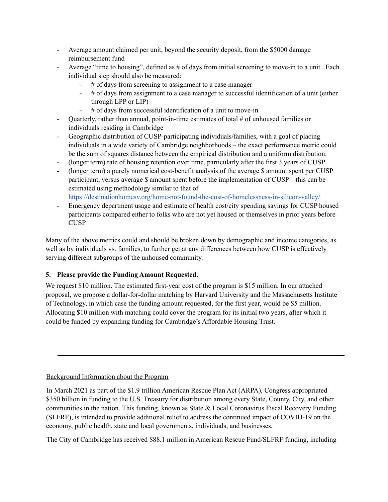- Average amount claimed per unit, beyond the security deposit, from the \$5000 damage reimbursement fund
- Average "time to housing", defined as # of days from initial screening to move-in to a unit. Each individual step should also be measured:
	- # of days from screening to assignment to a case manager
	- # of days from assignment to a case manager to successful identification of a unit (either through LPP or LIP)
	- # of days from successful identification of a unit to move-in
- Quarterly, rather than annual, point-in-time estimates of total # of unhoused families or individuals residing in Cambridge
- Geographic distribution of CUSP-participating individuals/families, with a goal of placing individuals in a wide variety of Cambridge neighborhoods – the exact performance metric could be the sum of squares distance between the empirical distribution and a uniform distribution.
- (longer term) rate of housing retention over time, particularly after the first 3 years of CUSP
- (longer term) a purely numerical cost-benefit analysis of the average \$ amount spent per CUSP participant, versus average \$ amount spent before the implementation of CUSP – this can be estimated using methodology similar to that of <https://destinationhomesv.org/home-not-found-the-cost-of-homelessness-in-silicon-valley/>

- Emergency department usage and estimate of health cost/city spending savings for CUSP housed participants compared either to folks who are not yet housed or themselves in prior years before **CUSP** 

Many of the above metrics could and should be broken down by demographic and income categories, as well as by individuals vs. families, to further get at any differences between how CUSP is effectively serving different subgroups of the unhoused community.

## **5. Please provide the Funding Amount Requested.**

We request \$10 million. The estimated first-year cost of the program is \$15 million. In our attached proposal, we propose a dollar-for-dollar matching by Harvard University and the Massachusetts Institute of Technology, in which case the funding amount requested, for the first year, would be \$5 million. Allocating \$10 million with matching could cover the program for its initial two years, after which it could be funded by expanding funding for Cambridge's Affordable Housing Trust.

## Background Information about the Program

In March 2021 as part of the \$1.9 trillion American Rescue Plan Act (ARPA), Congress appropriated \$350 billion in funding to the U.S. Treasury for distribution among every State, County, City, and other communities in the nation. This funding, known as State & Local Coronavirus Fiscal Recovery Funding (SLFRF), is intended to provide additional relief to address the continued impact of COVID-19 on the economy, public health, state and local governments, individuals, and businesses.

The City of Cambridge has received \$88.1 million in American Rescue Fund/SLFRF funding, including